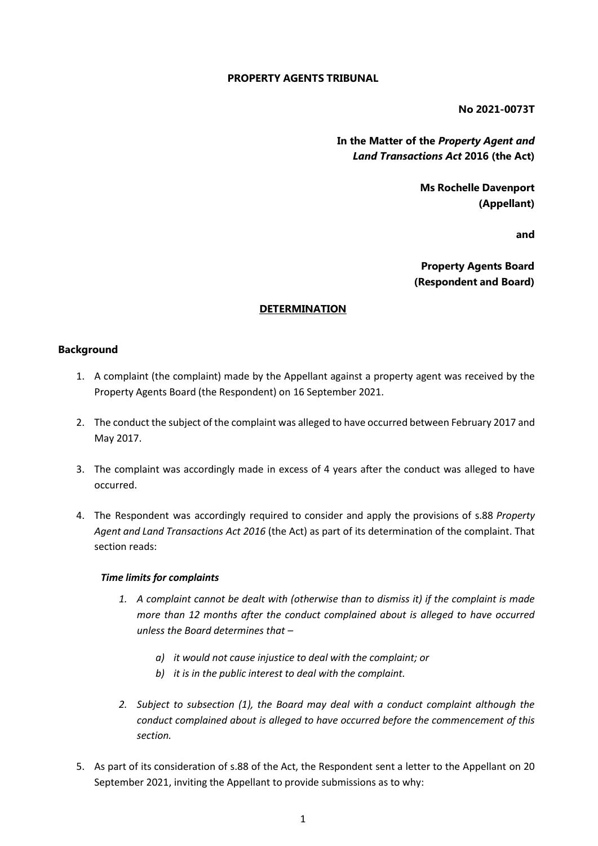# **PROPERTY AGENTS TRIBUNAL**

**No 2021-0073T**

**In the Matter of the** *Property Agent and Land Transactions Act* **2016 (the Act)**

> **Ms Rochelle Davenport (Appellant)**

> > **and**

**Property Agents Board (Respondent and Board)**

### **DETERMINATION**

# **Background**

- 1. A complaint (the complaint) made by the Appellant against a property agent was received by the Property Agents Board (the Respondent) on 16 September 2021.
- 2. The conduct the subject of the complaint was alleged to have occurred between February 2017 and May 2017.
- 3. The complaint was accordingly made in excess of 4 years after the conduct was alleged to have occurred.
- 4. The Respondent was accordingly required to consider and apply the provisions of s.88 *Property Agent and Land Transactions Act 2016* (the Act) as part of its determination of the complaint. That section reads:

#### *Time limits for complaints*

- *1. A complaint cannot be dealt with (otherwise than to dismiss it) if the complaint is made more than 12 months after the conduct complained about is alleged to have occurred unless the Board determines that –*
	- *a) it would not cause injustice to deal with the complaint; or*
	- *b) it is in the public interest to deal with the complaint.*
- *2. Subject to subsection (1), the Board may deal with a conduct complaint although the conduct complained about is alleged to have occurred before the commencement of this section.*
- 5. As part of its consideration of s.88 of the Act, the Respondent sent a letter to the Appellant on 20 September 2021, inviting the Appellant to provide submissions as to why: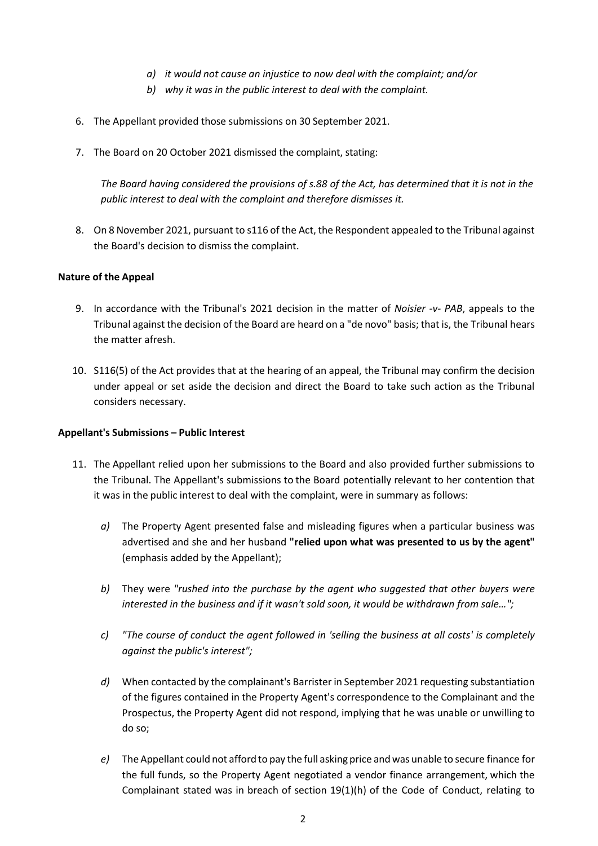- *a) it would not cause an injustice to now deal with the complaint; and/or*
- *b) why it was in the public interest to deal with the complaint.*
- 6. The Appellant provided those submissions on 30 September 2021.
- 7. The Board on 20 October 2021 dismissed the complaint, stating:

*The Board having considered the provisions of s.88 of the Act, has determined that it is not in the public interest to deal with the complaint and therefore dismisses it.*

8. On 8 November 2021, pursuant to s116 of the Act, the Respondent appealed to the Tribunal against the Board's decision to dismiss the complaint.

# **Nature of the Appeal**

- 9. In accordance with the Tribunal's 2021 decision in the matter of *Noisier -v- PAB*, appeals to the Tribunal against the decision of the Board are heard on a "de novo" basis; that is, the Tribunal hears the matter afresh.
- 10. S116(5) of the Act provides that at the hearing of an appeal, the Tribunal may confirm the decision under appeal or set aside the decision and direct the Board to take such action as the Tribunal considers necessary.

#### **Appellant's Submissions – Public Interest**

- 11. The Appellant relied upon her submissions to the Board and also provided further submissions to the Tribunal. The Appellant's submissions to the Board potentially relevant to her contention that it was in the public interest to deal with the complaint, were in summary as follows:
	- *a)* The Property Agent presented false and misleading figures when a particular business was advertised and she and her husband **"relied upon what was presented to us by the agent"** (emphasis added by the Appellant);
	- *b)* They were *"rushed into the purchase by the agent who suggested that other buyers were interested in the business and if it wasn't sold soon, it would be withdrawn from sale…";*
	- *c) "The course of conduct the agent followed in 'selling the business at all costs' is completely against the public's interest";*
	- *d)* When contacted by the complainant's Barrister in September 2021 requesting substantiation of the figures contained in the Property Agent's correspondence to the Complainant and the Prospectus, the Property Agent did not respond, implying that he was unable or unwilling to do so;
	- *e)* The Appellant could not afford to pay the full asking price andwas unable to secure finance for the full funds, so the Property Agent negotiated a vendor finance arrangement, which the Complainant stated was in breach of section 19(1)(h) of the Code of Conduct, relating to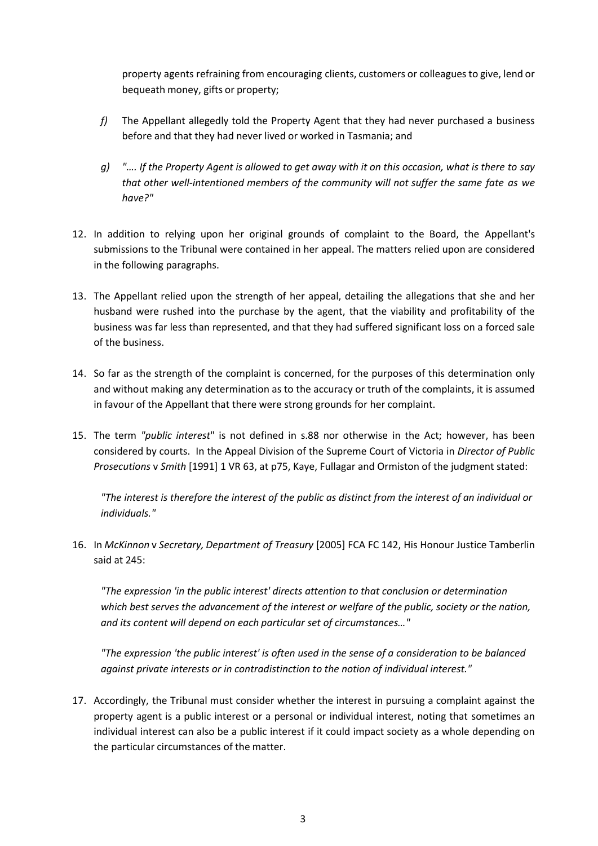property agents refraining from encouraging clients, customers or colleagues to give, lend or bequeath money, gifts or property;

- *f)* The Appellant allegedly told the Property Agent that they had never purchased a business before and that they had never lived or worked in Tasmania; and
- q) ".... If the Property Agent is allowed to get away with it on this occasion, what is there to say *that other well-intentioned members of the community will not suffer the same fate as we have?"*
- 12. In addition to relying upon her original grounds of complaint to the Board, the Appellant's submissions to the Tribunal were contained in her appeal. The matters relied upon are considered in the following paragraphs.
- 13. The Appellant relied upon the strength of her appeal, detailing the allegations that she and her husband were rushed into the purchase by the agent, that the viability and profitability of the business was far less than represented, and that they had suffered significant loss on a forced sale of the business.
- 14. So far as the strength of the complaint is concerned, for the purposes of this determination only and without making any determination as to the accuracy or truth of the complaints, it is assumed in favour of the Appellant that there were strong grounds for her complaint.
- 15. The term *"public interest*" is not defined in s.88 nor otherwise in the Act; however, has been considered by courts. In the Appeal Division of the Supreme Court of Victoria in *Director of Public Prosecutions* v *Smith* [1991] 1 VR 63, at p75, Kaye, Fullagar and Ormiston of the judgment stated:

*"The interest is therefore the interest of the public as distinct from the interest of an individual or individuals."*

16. In *McKinnon* v *Secretary, Department of Treasury* [2005] FCA FC 142, His Honour Justice Tamberlin said at 245:

*"The expression 'in the public interest' directs attention to that conclusion or determination which best serves the advancement of the interest or welfare of the public, society or the nation, and its content will depend on each particular set of circumstances…"*

*"The expression 'the public interest' is often used in the sense of a consideration to be balanced against private interests or in contradistinction to the notion of individual interest."*

17. Accordingly, the Tribunal must consider whether the interest in pursuing a complaint against the property agent is a public interest or a personal or individual interest, noting that sometimes an individual interest can also be a public interest if it could impact society as a whole depending on the particular circumstances of the matter.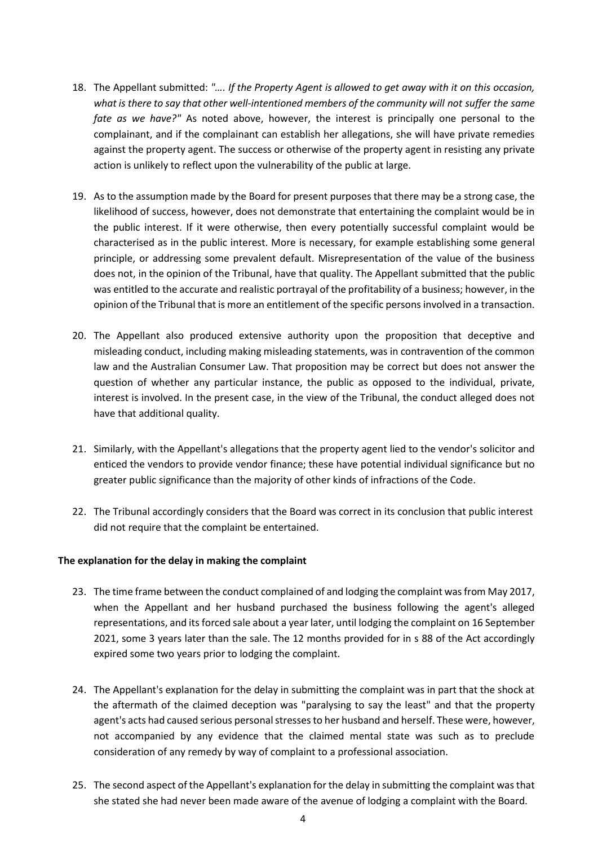- 18. The Appellant submitted: *"…. If the Property Agent is allowed to get away with it on this occasion, what is there to say that other well-intentioned members of the community will not suffer the same fate as we have?"* As noted above, however, the interest is principally one personal to the complainant, and if the complainant can establish her allegations, she will have private remedies against the property agent. The success or otherwise of the property agent in resisting any private action is unlikely to reflect upon the vulnerability of the public at large.
- 19. As to the assumption made by the Board for present purposes that there may be a strong case, the likelihood of success, however, does not demonstrate that entertaining the complaint would be in the public interest. If it were otherwise, then every potentially successful complaint would be characterised as in the public interest. More is necessary, for example establishing some general principle, or addressing some prevalent default. Misrepresentation of the value of the business does not, in the opinion of the Tribunal, have that quality. The Appellant submitted that the public was entitled to the accurate and realistic portrayal of the profitability of a business; however, in the opinion of the Tribunal that is more an entitlement of the specific persons involved in a transaction.
- 20. The Appellant also produced extensive authority upon the proposition that deceptive and misleading conduct, including making misleading statements, was in contravention of the common law and the Australian Consumer Law. That proposition may be correct but does not answer the question of whether any particular instance, the public as opposed to the individual, private, interest is involved. In the present case, in the view of the Tribunal, the conduct alleged does not have that additional quality.
- 21. Similarly, with the Appellant's allegations that the property agent lied to the vendor's solicitor and enticed the vendors to provide vendor finance; these have potential individual significance but no greater public significance than the majority of other kinds of infractions of the Code.
- 22. The Tribunal accordingly considers that the Board was correct in its conclusion that public interest did not require that the complaint be entertained.

# **The explanation for the delay in making the complaint**

- 23. The time frame between the conduct complained of and lodging the complaint was from May 2017, when the Appellant and her husband purchased the business following the agent's alleged representations, and its forced sale about a year later, until lodging the complaint on 16 September 2021, some 3 years later than the sale. The 12 months provided for in s 88 of the Act accordingly expired some two years prior to lodging the complaint.
- 24. The Appellant's explanation for the delay in submitting the complaint was in part that the shock at the aftermath of the claimed deception was "paralysing to say the least" and that the property agent's acts had caused serious personal stresses to her husband and herself. These were, however, not accompanied by any evidence that the claimed mental state was such as to preclude consideration of any remedy by way of complaint to a professional association.
- 25. The second aspect of the Appellant's explanation for the delay in submitting the complaint was that she stated she had never been made aware of the avenue of lodging a complaint with the Board.